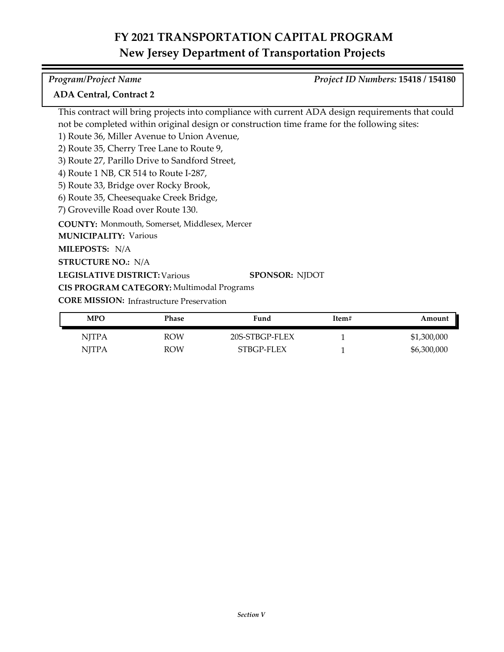### **COUNTY:** Monmouth, Somerset, Middlesex, Mercer **LEGISLATIVE DISTRICT:** Various **MILEPOSTS:** N/A **STRUCTURE NO.:** N/A **MUNICIPALITY: Various CORE MISSION: Infrastructure Preservation** This contract will bring projects into compliance with current ADA design requirements that could not be completed within original design or construction time frame for the following sites: 1) Route 36, Miller Avenue to Union Avenue, 2) Route 35, Cherry Tree Lane to Route 9, 3) Route 27, Parillo Drive to Sandford Street, 4) Route 1 NB, CR 514 to Route I-287, 5) Route 33, Bridge over Rocky Brook, 6) Route 35, Cheesequake Creek Bridge, 7) Groveville Road over Route 130. **SPONSOR:** NJDOT **CIS PROGRAM CATEGORY:** Multimodal Programs *Program/Project Name Project ID Numbers:* **15418 / 154180 ADA Central, Contract 2**

| <b>MPO</b>   | Phase      | Fund           | Item# | Amount      |
|--------------|------------|----------------|-------|-------------|
| <b>NITPA</b> | <b>ROW</b> | 20S-STBGP-FLEX |       | \$1,300,000 |
| <b>NITPA</b> | <b>ROW</b> | STBGP-FLEX     |       | \$6,300,000 |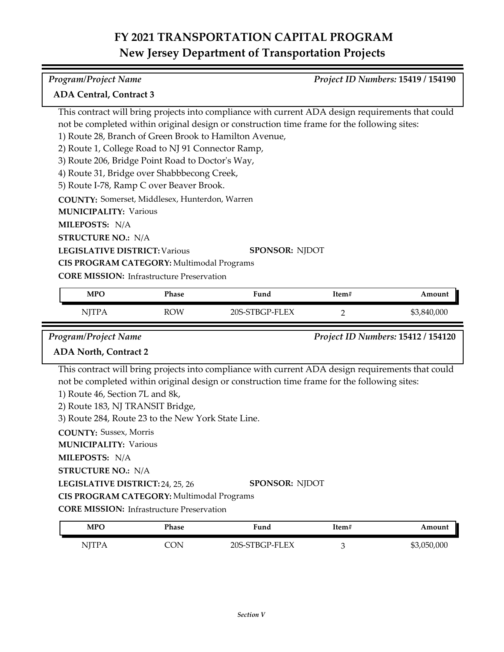| <b>Program/Project Name</b>                            |            |                                                                                                   |                | Project ID Numbers: 15419 / 154190 |
|--------------------------------------------------------|------------|---------------------------------------------------------------------------------------------------|----------------|------------------------------------|
| <b>ADA Central, Contract 3</b>                         |            |                                                                                                   |                |                                    |
|                                                        |            | This contract will bring projects into compliance with current ADA design requirements that could |                |                                    |
|                                                        |            | not be completed within original design or construction time frame for the following sites:       |                |                                    |
| 1) Route 28, Branch of Green Brook to Hamilton Avenue, |            |                                                                                                   |                |                                    |
| 2) Route 1, College Road to NJ 91 Connector Ramp,      |            |                                                                                                   |                |                                    |
| 3) Route 206, Bridge Point Road to Doctor's Way,       |            |                                                                                                   |                |                                    |
| 4) Route 31, Bridge over Shabbbecong Creek,            |            |                                                                                                   |                |                                    |
| 5) Route I-78, Ramp C over Beaver Brook.               |            |                                                                                                   |                |                                    |
| <b>COUNTY:</b> Somerset, Middlesex, Hunterdon, Warren  |            |                                                                                                   |                |                                    |
| <b>MUNICIPALITY: Various</b>                           |            |                                                                                                   |                |                                    |
| MILEPOSTS: N/A                                         |            |                                                                                                   |                |                                    |
| <b>STRUCTURE NO.: N/A</b>                              |            |                                                                                                   |                |                                    |
| <b>LEGISLATIVE DISTRICT: Various</b>                   |            | <b>SPONSOR: NIDOT</b>                                                                             |                |                                    |
| CIS PROGRAM CATEGORY: Multimodal Programs              |            |                                                                                                   |                |                                    |
| <b>CORE MISSION:</b> Infrastructure Preservation       |            |                                                                                                   |                |                                    |
| <b>MPO</b>                                             | Phase      | Fund                                                                                              | Item#          | Amount                             |
| <b>NJTPA</b>                                           | <b>ROW</b> | 20S-STBGP-FLEX                                                                                    | $\overline{2}$ | \$3,840,000                        |
| <b>Program/Project Name</b>                            |            |                                                                                                   |                | Project ID Numbers: 15412 / 154120 |

### **ADA North, Contract 2**

This contract will bring projects into compliance with current ADA design requirements that could not be completed within original design or construction time frame for the following sites:

- 1) Route 46, Section 7L and 8k,
- 2) Route 183, NJ TRANSIT Bridge,
- 3) Route 284, Route 23 to the New York State Line.

**COUNTY:** Sussex, Morris

**MUNICIPALITY: Various** 

**MILEPOSTS:** N/A

**STRUCTURE NO.:** N/A

**LEGISLATIVE DISTRICT:** 24, 25, 26 **SPONSOR:** NJDOT

**CIS PROGRAM CATEGORY:** Multimodal Programs

| MPO | Phase | ∀und           | Item# | Amount      |
|-----|-------|----------------|-------|-------------|
|     | `ON   | 20S-STBGP-FLEX |       | \$3,050,000 |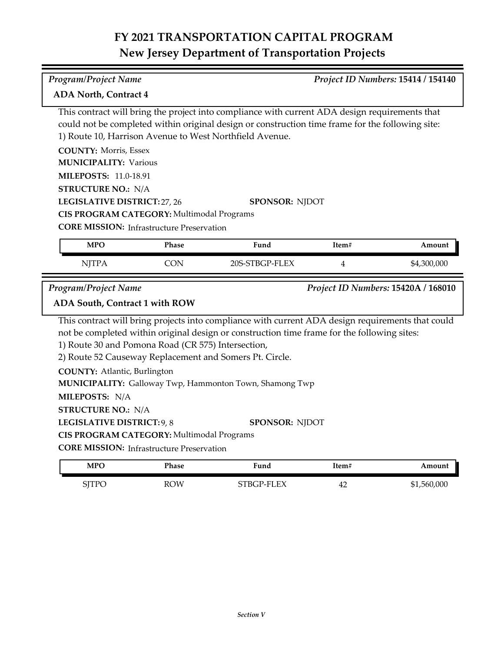*Program/Project Name Project ID Numbers:* **15414 / 154140**

| This contract will bring the project into compliance with current ADA design requirements that<br>could not be completed within original design or construction time frame for the following site:<br>1) Route 10, Harrison Avenue to West Northfield Avenue. |                                                    |                                                                                                   |       |                                     |  |  |
|---------------------------------------------------------------------------------------------------------------------------------------------------------------------------------------------------------------------------------------------------------------|----------------------------------------------------|---------------------------------------------------------------------------------------------------|-------|-------------------------------------|--|--|
| <b>COUNTY: Morris, Essex</b>                                                                                                                                                                                                                                  |                                                    |                                                                                                   |       |                                     |  |  |
| <b>MUNICIPALITY: Various</b>                                                                                                                                                                                                                                  |                                                    |                                                                                                   |       |                                     |  |  |
| <b>MILEPOSTS: 11.0-18.91</b>                                                                                                                                                                                                                                  |                                                    |                                                                                                   |       |                                     |  |  |
| <b>STRUCTURE NO.: N/A</b>                                                                                                                                                                                                                                     |                                                    |                                                                                                   |       |                                     |  |  |
| LEGISLATIVE DISTRICT: 27, 26                                                                                                                                                                                                                                  |                                                    | <b>SPONSOR: NJDOT</b>                                                                             |       |                                     |  |  |
|                                                                                                                                                                                                                                                               |                                                    |                                                                                                   |       |                                     |  |  |
| CIS PROGRAM CATEGORY: Multimodal Programs<br><b>CORE MISSION:</b> Infrastructure Preservation                                                                                                                                                                 |                                                    |                                                                                                   |       |                                     |  |  |
|                                                                                                                                                                                                                                                               |                                                    |                                                                                                   |       |                                     |  |  |
| <b>MPO</b>                                                                                                                                                                                                                                                    | Phase                                              | Fund                                                                                              | Item# | Amount                              |  |  |
|                                                                                                                                                                                                                                                               |                                                    |                                                                                                   |       |                                     |  |  |
| <b>NJTPA</b>                                                                                                                                                                                                                                                  | <b>CON</b>                                         | 20S-STBGP-FLEX                                                                                    | 4     | \$4,300,000                         |  |  |
| <b>Program/Project Name</b>                                                                                                                                                                                                                                   |                                                    |                                                                                                   |       | Project ID Numbers: 15420A / 168010 |  |  |
| ADA South, Contract 1 with ROW                                                                                                                                                                                                                                |                                                    |                                                                                                   |       |                                     |  |  |
|                                                                                                                                                                                                                                                               |                                                    | This contract will bring projects into compliance with current ADA design requirements that could |       |                                     |  |  |
|                                                                                                                                                                                                                                                               |                                                    | not be completed within original design or construction time frame for the following sites:       |       |                                     |  |  |
|                                                                                                                                                                                                                                                               | 1) Route 30 and Pomona Road (CR 575) Intersection, |                                                                                                   |       |                                     |  |  |
|                                                                                                                                                                                                                                                               |                                                    | 2) Route 52 Causeway Replacement and Somers Pt. Circle.                                           |       |                                     |  |  |
|                                                                                                                                                                                                                                                               |                                                    |                                                                                                   |       |                                     |  |  |
| <b>COUNTY: Atlantic, Burlington</b>                                                                                                                                                                                                                           |                                                    | MUNICIPALITY: Galloway Twp, Hammonton Town, Shamong Twp                                           |       |                                     |  |  |
| MILEPOSTS: N/A                                                                                                                                                                                                                                                |                                                    |                                                                                                   |       |                                     |  |  |
| <b>STRUCTURE NO.: N/A</b>                                                                                                                                                                                                                                     |                                                    |                                                                                                   |       |                                     |  |  |
| LEGISLATIVE DISTRICT: 9, 8                                                                                                                                                                                                                                    |                                                    | <b>SPONSOR: NJDOT</b>                                                                             |       |                                     |  |  |

**CORE MISSION: Infrastructure Preservation** 

**ADA North, Contract 4**

| MPO                                    | Phase | Fund       | Item# | Amount      |
|----------------------------------------|-------|------------|-------|-------------|
| STTPC<br>$\overline{\phantom{a}}$<br>◡ | ROW   | STBGP-FLEX | 42    | \$1,560,000 |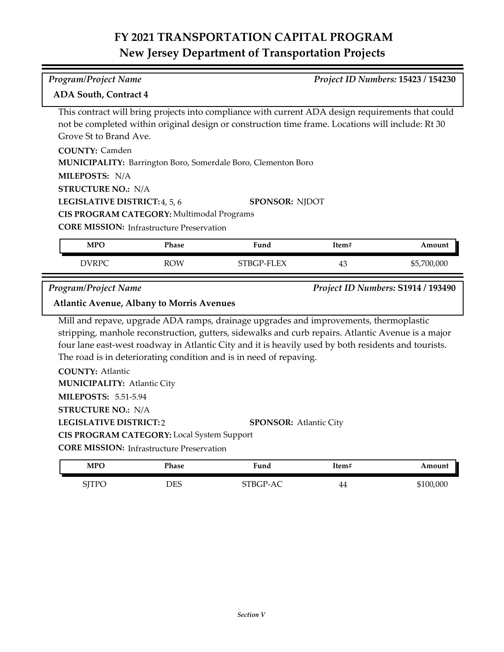| SPONSOR: NJDOT | This contract will bring projects into compliance with current ADA design requirements that could<br>not be completed within original design or construction time frame. Locations will include: Rt 30 |
|----------------|--------------------------------------------------------------------------------------------------------------------------------------------------------------------------------------------------------|
|                |                                                                                                                                                                                                        |
|                |                                                                                                                                                                                                        |
|                |                                                                                                                                                                                                        |
|                |                                                                                                                                                                                                        |
|                |                                                                                                                                                                                                        |
|                |                                                                                                                                                                                                        |
|                |                                                                                                                                                                                                        |
|                |                                                                                                                                                                                                        |
| Item#          | Amount                                                                                                                                                                                                 |
| 43             | \$5,700,000                                                                                                                                                                                            |
|                | Project ID Numbers: S1914 / 193490                                                                                                                                                                     |
|                |                                                                                                                                                                                                        |
|                | Mill and repave, upgrade ADA ramps, drainage upgrades and improvements, thermoplastic                                                                                                                  |

stripping, manhole reconstruction, gutters, sidewalks and curb repairs. Atlantic Avenue is a major four lane east-west roadway in Atlantic City and it is heavily used by both residents and tourists. The road is in deteriorating condition and is in need of repaving.

**COUNTY:** Atlantic **LEGISLATIVE DISTRICT:** 2 **MILEPOSTS:** 5.51-5.94 **STRUCTURE NO.:** N/A **MUNICIPALITY: Atlantic City CORE MISSION: Infrastructure Preservation SPONSOR:** Atlantic City **CIS PROGRAM CATEGORY:** Local System Support

| <b>MPO</b>                               | Phase | <b>Fund</b>     | Item# | Amount    |
|------------------------------------------|-------|-----------------|-------|-----------|
| $\mathsf{CTTD}\mathcal{C}$<br>ات<br>11 U | DES   | <b>STBGP-AC</b> | 44    | \$100,000 |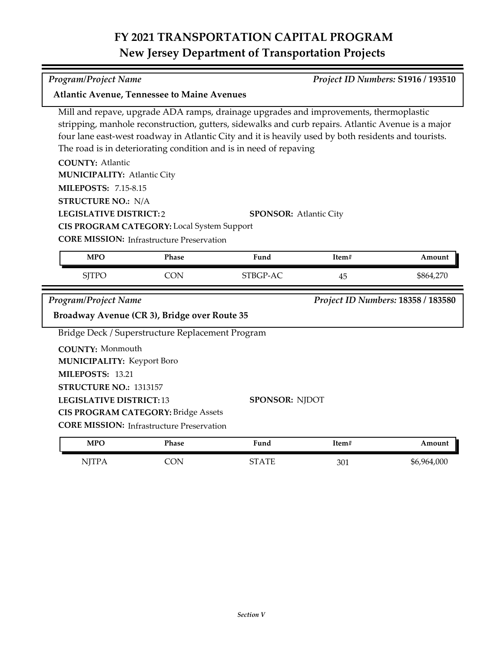#### *Program/Project Name Project ID Numbers:* **S1916 / 193510**

**Atlantic Avenue, Tennessee to Maine Avenues**

Mill and repave, upgrade ADA ramps, drainage upgrades and improvements, thermoplastic stripping, manhole reconstruction, gutters, sidewalks and curb repairs. Atlantic Avenue is a major four lane east-west roadway in Atlantic City and it is heavily used by both residents and tourists. The road is in deteriorating condition and is in need of repaving

**COUNTY:** Atlantic

**MUNICIPALITY: Atlantic City** 

**MILEPOSTS:** 7.15-8.15

**STRUCTURE NO.:** N/A

Ξ

**LEGISLATIVE DISTRICT:** 2

**SPONSOR:** Atlantic City

**CIS PROGRAM CATEGORY:** Local System Support

| <b>MPO</b>                                   | Phase                                            | Fund                  | Item# | Amount                             |
|----------------------------------------------|--------------------------------------------------|-----------------------|-------|------------------------------------|
| <b>SITPO</b>                                 | <b>CON</b>                                       | STBGP-AC              | 45    | \$864,270                          |
| Program/Project Name                         |                                                  |                       |       | Project ID Numbers: 18358 / 183580 |
| Broadway Avenue (CR 3), Bridge over Route 35 |                                                  |                       |       |                                    |
|                                              | Bridge Deck / Superstructure Replacement Program |                       |       |                                    |
| <b>COUNTY: Monmouth</b>                      |                                                  |                       |       |                                    |
| <b>MUNICIPALITY: Keyport Boro</b>            |                                                  |                       |       |                                    |
| MILEPOSTS: 13.21                             |                                                  |                       |       |                                    |
| <b>STRUCTURE NO.: 1313157</b>                |                                                  |                       |       |                                    |
| <b>LEGISLATIVE DISTRICT:13</b>               |                                                  | <b>SPONSOR: NJDOT</b> |       |                                    |
|                                              | <b>CIS PROGRAM CATEGORY: Bridge Assets</b>       |                       |       |                                    |
|                                              | <b>CORE MISSION:</b> Infrastructure Preservation |                       |       |                                    |
| <b>MPO</b>                                   | Phase                                            | Fund                  | Item# | Amount                             |
| <b>NJTPA</b>                                 | <b>CON</b>                                       | <b>STATE</b>          | 301   | \$6,964,000                        |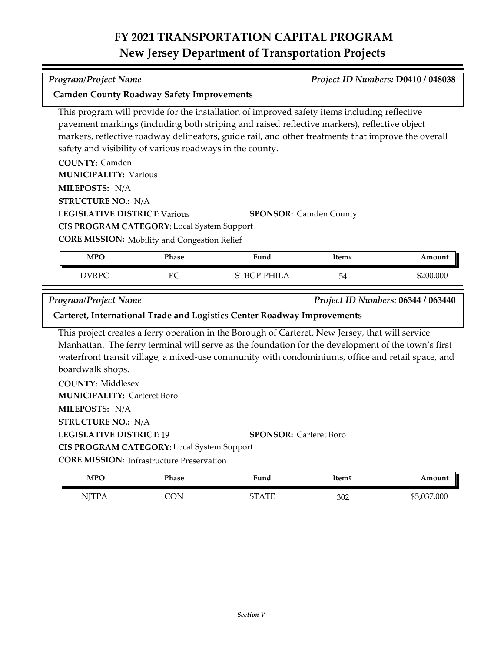*Program/Project Name Project ID Numbers:* **D0410 / 048038**

| This program will provide for the installation of improved safety items including reflective<br>pavement markings (including both striping and raised reflective markers), reflective object<br>markers, reflective roadway delineators, guide rail, and other treatments that improve the overall<br>safety and visibility of various roadways in the county.<br><b>COUNTY: Camden</b><br><b>MUNICIPALITY: Various</b><br>MILEPOSTS: N/A<br><b>STRUCTURE NO.: N/A</b><br><b>LEGISLATIVE DISTRICT: Various</b><br>CIS PROGRAM CATEGORY: Local System Support<br><b>CORE MISSION:</b> Mobility and Congestion Relief<br><b>MPO</b><br><b>DVRPC</b><br><b>Program/Project Name</b><br>Carteret, International Trade and Logistics Center Roadway Improvements<br>This project creates a ferry operation in the Borough of Carteret, New Jersey, that will service<br>Manhattan. The ferry terminal will serve as the foundation for the development of the town's first<br>waterfront transit village, a mixed-use community with condominiums, office and retail space, and<br>boardwalk shops.<br><b>COUNTY: Middlesex</b><br><b>MUNICIPALITY: Carteret Boro</b><br>MILEPOSTS: N/A<br><b>STRUCTURE NO.: N/A</b><br><b>LEGISLATIVE DISTRICT: 19</b> | Phase<br>EC | <b>SPONSOR: Camden County</b><br>Fund<br>STBGP-PHILA | Item#<br>54          | Amount<br>\$200,000<br>Project ID Numbers: 06344 / 063440 |  |
|----------------------------------------------------------------------------------------------------------------------------------------------------------------------------------------------------------------------------------------------------------------------------------------------------------------------------------------------------------------------------------------------------------------------------------------------------------------------------------------------------------------------------------------------------------------------------------------------------------------------------------------------------------------------------------------------------------------------------------------------------------------------------------------------------------------------------------------------------------------------------------------------------------------------------------------------------------------------------------------------------------------------------------------------------------------------------------------------------------------------------------------------------------------------------------------------------------------------------------------------------|-------------|------------------------------------------------------|----------------------|-----------------------------------------------------------|--|
|                                                                                                                                                                                                                                                                                                                                                                                                                                                                                                                                                                                                                                                                                                                                                                                                                                                                                                                                                                                                                                                                                                                                                                                                                                                    |             |                                                      |                      |                                                           |  |
|                                                                                                                                                                                                                                                                                                                                                                                                                                                                                                                                                                                                                                                                                                                                                                                                                                                                                                                                                                                                                                                                                                                                                                                                                                                    |             |                                                      |                      |                                                           |  |
|                                                                                                                                                                                                                                                                                                                                                                                                                                                                                                                                                                                                                                                                                                                                                                                                                                                                                                                                                                                                                                                                                                                                                                                                                                                    |             |                                                      |                      |                                                           |  |
|                                                                                                                                                                                                                                                                                                                                                                                                                                                                                                                                                                                                                                                                                                                                                                                                                                                                                                                                                                                                                                                                                                                                                                                                                                                    |             |                                                      |                      |                                                           |  |
|                                                                                                                                                                                                                                                                                                                                                                                                                                                                                                                                                                                                                                                                                                                                                                                                                                                                                                                                                                                                                                                                                                                                                                                                                                                    |             |                                                      |                      |                                                           |  |
|                                                                                                                                                                                                                                                                                                                                                                                                                                                                                                                                                                                                                                                                                                                                                                                                                                                                                                                                                                                                                                                                                                                                                                                                                                                    |             |                                                      |                      |                                                           |  |
|                                                                                                                                                                                                                                                                                                                                                                                                                                                                                                                                                                                                                                                                                                                                                                                                                                                                                                                                                                                                                                                                                                                                                                                                                                                    |             |                                                      |                      |                                                           |  |
|                                                                                                                                                                                                                                                                                                                                                                                                                                                                                                                                                                                                                                                                                                                                                                                                                                                                                                                                                                                                                                                                                                                                                                                                                                                    |             |                                                      |                      |                                                           |  |
|                                                                                                                                                                                                                                                                                                                                                                                                                                                                                                                                                                                                                                                                                                                                                                                                                                                                                                                                                                                                                                                                                                                                                                                                                                                    |             |                                                      |                      |                                                           |  |
|                                                                                                                                                                                                                                                                                                                                                                                                                                                                                                                                                                                                                                                                                                                                                                                                                                                                                                                                                                                                                                                                                                                                                                                                                                                    |             |                                                      |                      |                                                           |  |
|                                                                                                                                                                                                                                                                                                                                                                                                                                                                                                                                                                                                                                                                                                                                                                                                                                                                                                                                                                                                                                                                                                                                                                                                                                                    |             |                                                      |                      |                                                           |  |
|                                                                                                                                                                                                                                                                                                                                                                                                                                                                                                                                                                                                                                                                                                                                                                                                                                                                                                                                                                                                                                                                                                                                                                                                                                                    |             |                                                      |                      |                                                           |  |
|                                                                                                                                                                                                                                                                                                                                                                                                                                                                                                                                                                                                                                                                                                                                                                                                                                                                                                                                                                                                                                                                                                                                                                                                                                                    |             |                                                      |                      |                                                           |  |
|                                                                                                                                                                                                                                                                                                                                                                                                                                                                                                                                                                                                                                                                                                                                                                                                                                                                                                                                                                                                                                                                                                                                                                                                                                                    |             |                                                      |                      |                                                           |  |
|                                                                                                                                                                                                                                                                                                                                                                                                                                                                                                                                                                                                                                                                                                                                                                                                                                                                                                                                                                                                                                                                                                                                                                                                                                                    |             |                                                      |                      |                                                           |  |
|                                                                                                                                                                                                                                                                                                                                                                                                                                                                                                                                                                                                                                                                                                                                                                                                                                                                                                                                                                                                                                                                                                                                                                                                                                                    |             | <b>SPONSOR: Carteret Boro</b>                        |                      |                                                           |  |
| CIS PROGRAM CATEGORY: Local System Support                                                                                                                                                                                                                                                                                                                                                                                                                                                                                                                                                                                                                                                                                                                                                                                                                                                                                                                                                                                                                                                                                                                                                                                                         |             |                                                      |                      |                                                           |  |
| <b>CORE MISSION: Infrastructure Preservation</b>                                                                                                                                                                                                                                                                                                                                                                                                                                                                                                                                                                                                                                                                                                                                                                                                                                                                                                                                                                                                                                                                                                                                                                                                   |             |                                                      |                      |                                                           |  |
| <b>MPO</b>                                                                                                                                                                                                                                                                                                                                                                                                                                                                                                                                                                                                                                                                                                                                                                                                                                                                                                                                                                                                                                                                                                                                                                                                                                         |             | Fund                                                 | $\mathbf{Item}^{\#}$ | Amount                                                    |  |
| <b>NJTPA</b><br>CON                                                                                                                                                                                                                                                                                                                                                                                                                                                                                                                                                                                                                                                                                                                                                                                                                                                                                                                                                                                                                                                                                                                                                                                                                                | Phase       |                                                      |                      | \$5,037,000                                               |  |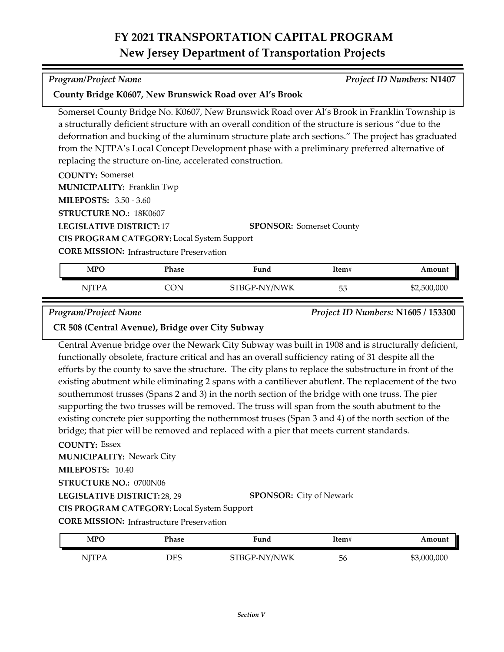Somerset County Bridge No. K0607, New Brunswick Road over Al's Brook in Franklin Township is

|                                                            |              | a structurally deficient structure with an overall condition of the structure is serious "due to the |                                 |        |
|------------------------------------------------------------|--------------|------------------------------------------------------------------------------------------------------|---------------------------------|--------|
|                                                            |              | deformation and bucking of the aluminum structure plate arch sections." The project has graduated    |                                 |        |
|                                                            |              | from the NJTPA's Local Concept Development phase with a preliminary preferred alternative of         |                                 |        |
| replacing the structure on-line, accelerated construction. |              |                                                                                                      |                                 |        |
| <b>COUNTY:</b> Somerset                                    |              |                                                                                                      |                                 |        |
| <b>MUNICIPALITY: Franklin Twp</b>                          |              |                                                                                                      |                                 |        |
| <b>MILEPOSTS: 3.50 - 3.60</b>                              |              |                                                                                                      |                                 |        |
| STRUCTURE NO.: 18K0607                                     |              |                                                                                                      |                                 |        |
| <b>LEGISLATIVE DISTRICT: 17</b>                            |              |                                                                                                      | <b>SPONSOR: Somerset County</b> |        |
| <b>CIS PROGRAM CATEGORY:</b> Local System Support          |              |                                                                                                      |                                 |        |
| <b>CORE MISSION:</b> Infrastructure Preservation           |              |                                                                                                      |                                 |        |
|                                                            |              |                                                                                                      |                                 | Amount |
| <b>MPO</b>                                                 | <b>Phase</b> | Fund                                                                                                 | Item#                           |        |

| STBGP-NY/NWK<br>NITP A<br>CON<br>医尿<br>◡◡ | $\mathbf{v}$ | 1 наэс | r unu | $\mathbf{R}$ | Allivuli    |
|-------------------------------------------|--------------|--------|-------|--------------|-------------|
|                                           |              |        |       |              | \$2,500,000 |

*Program/Project Name Project ID Numbers:* **N1605 / 153300**

**CR 508 (Central Avenue), Bridge over City Subway**

**County Bridge K0607, New Brunswick Road over Al's Brook**

Central Avenue bridge over the Newark City Subway was built in 1908 and is structurally deficient, functionally obsolete, fracture critical and has an overall sufficiency rating of 31 despite all the efforts by the county to save the structure. The city plans to replace the substructure in front of the existing abutment while eliminating 2 spans with a cantiliever abutlent. The replacement of the two southernmost trusses (Spans 2 and 3) in the north section of the bridge with one truss. The pier supporting the two trusses will be removed. The truss will span from the south abutment to the existing concrete pier supporting the nothernmost truses (Span 3 and 4) of the north section of the bridge; that pier will be removed and replaced with a pier that meets current standards.

#### **COUNTY:** Essex

**MILEPOSTS:** 10.40 **MUNICIPALITY: Newark City** 

#### **LEGISLATIVE DISTRICT:** 28, 29 **STRUCTURE NO.:** 0700N06

**SPONSOR:** City of Newark

**CIS PROGRAM CATEGORY:** Local System Support

**CORE MISSION:** Infrastructure Preservation

| MPO          | Phase | Fund         | Item# | Amount      |
|--------------|-------|--------------|-------|-------------|
| <b>ITTD.</b> | DES   | STBGP-NY/NWK | 56    | \$3,000,000 |

*Program/Project Name Project ID Numbers:* **N1407**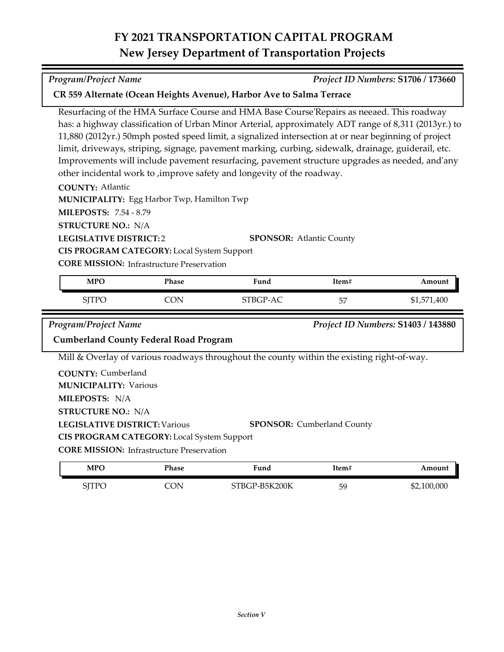Resurfacing of the HMA Surface Course and HMA Base Course'Repairs as neeaed. This roadway has: a highway classification of Urban Minor Arterial, approximately ADT range of 8,311 (2013yr.) to 11,880 (2012yr.) 50mph posted speed limit, a signalized intersection at or near beginning of project limit, driveways, striping, signage, pavement marking, curbing, sidewalk, drainage, guiderail, etc. Improvements will include pavement resurfacing, pavement structure upgrades as needed, and'any

| MUNICIPALITY: Egg Harbor Twp, Hamilton Twp |                                                   |                                                                                            |                                   |                                    |
|--------------------------------------------|---------------------------------------------------|--------------------------------------------------------------------------------------------|-----------------------------------|------------------------------------|
| <b>MILEPOSTS: 7.54 - 8.79</b>              |                                                   |                                                                                            |                                   |                                    |
| <b>STRUCTURE NO.: N/A</b>                  |                                                   |                                                                                            |                                   |                                    |
| <b>LEGISLATIVE DISTRICT:2</b>              |                                                   | <b>SPONSOR: Atlantic County</b>                                                            |                                   |                                    |
|                                            | <b>CIS PROGRAM CATEGORY:</b> Local System Support |                                                                                            |                                   |                                    |
|                                            | <b>CORE MISSION:</b> Infrastructure Preservation  |                                                                                            |                                   |                                    |
| <b>MPO</b>                                 | <b>Phase</b>                                      | Fund                                                                                       | Item#                             | Amount                             |
| <b>SJTPO</b>                               | <b>CON</b>                                        | STBGP-AC                                                                                   | 57                                | \$1,571,400                        |
|                                            |                                                   |                                                                                            |                                   |                                    |
| <b>Program/Project Name</b>                |                                                   |                                                                                            |                                   | Project ID Numbers: S1403 / 143880 |
|                                            | <b>Cumberland County Federal Road Program</b>     |                                                                                            |                                   |                                    |
|                                            |                                                   | Mill & Overlay of various roadways throughout the county within the existing right-of-way. |                                   |                                    |
| <b>COUNTY: Cumberland</b>                  |                                                   |                                                                                            |                                   |                                    |
| <b>MUNICIPALITY: Various</b>               |                                                   |                                                                                            |                                   |                                    |
| MILEPOSTS: N/A                             |                                                   |                                                                                            |                                   |                                    |
| <b>STRUCTURE NO.: N/A</b>                  |                                                   |                                                                                            |                                   |                                    |
| <b>LEGISLATIVE DISTRICT: Various</b>       |                                                   |                                                                                            | <b>SPONSOR:</b> Cumberland County |                                    |

**CORE MISSION:** Infrastructure Preservation

**COUNTY:** Atlantic

| <b>MPO</b>   | Phase | Fund          | ltem# | Amount      |
|--------------|-------|---------------|-------|-------------|
| <b>SITPC</b> | 'ON   | STBGP-B5K200K | 59    | \$2,100,000 |

*Program/Project Name Project ID Numbers:* **S1706 / 173660**

other incidental work to ,improve safety and longevity of the roadway.

**CR 559 Alternate (Ocean Heights Avenue), Harbor Ave to Salma Terrace**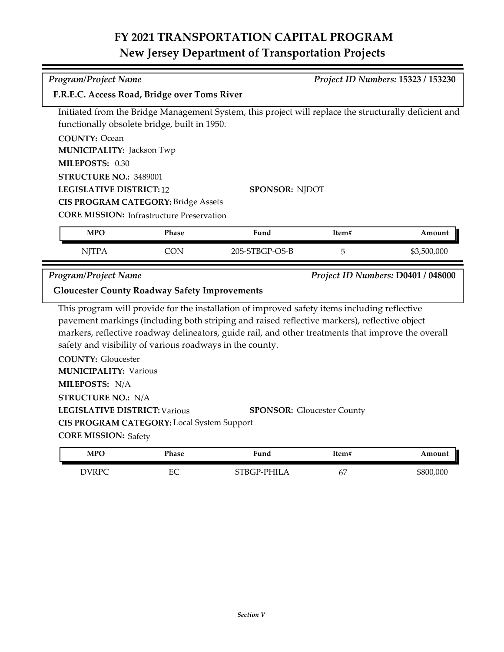| <b>Program/Project Name</b>                              |            |                                                                                                       |       | Project ID Numbers: 15323 / 153230 |
|----------------------------------------------------------|------------|-------------------------------------------------------------------------------------------------------|-------|------------------------------------|
| F.R.E.C. Access Road, Bridge over Toms River             |            |                                                                                                       |       |                                    |
|                                                          |            | Initiated from the Bridge Management System, this project will replace the structurally deficient and |       |                                    |
| functionally obsolete bridge, built in 1950.             |            |                                                                                                       |       |                                    |
| <b>COUNTY: Ocean</b>                                     |            |                                                                                                       |       |                                    |
| <b>MUNICIPALITY: Jackson Twp</b>                         |            |                                                                                                       |       |                                    |
| MILEPOSTS: 0.30                                          |            |                                                                                                       |       |                                    |
| STRUCTURE NO.: 3489001                                   |            |                                                                                                       |       |                                    |
| <b>LEGISLATIVE DISTRICT:12</b>                           |            | <b>SPONSOR: NJDOT</b>                                                                                 |       |                                    |
| <b>CIS PROGRAM CATEGORY: Bridge Assets</b>               |            |                                                                                                       |       |                                    |
| <b>CORE MISSION:</b> Infrastructure Preservation         |            |                                                                                                       |       |                                    |
| <b>MPO</b>                                               | Phase      | Fund                                                                                                  | Item# | Amount                             |
| <b>NJTPA</b>                                             | <b>CON</b> | 20S-STBGP-OS-B                                                                                        | 5     | \$3,500,000                        |
|                                                          |            |                                                                                                       |       |                                    |
|                                                          |            |                                                                                                       |       |                                    |
| <b>Program/Project Name</b>                              |            |                                                                                                       |       |                                    |
| <b>Gloucester County Roadway Safety Improvements</b>     |            |                                                                                                       |       |                                    |
|                                                          |            | This program will provide for the installation of improved safety items including reflective          |       |                                    |
|                                                          |            | pavement markings (including both striping and raised reflective markers), reflective object          |       |                                    |
|                                                          |            | markers, reflective roadway delineators, guide rail, and other treatments that improve the overall    |       |                                    |
| safety and visibility of various roadways in the county. |            |                                                                                                       |       |                                    |
| <b>COUNTY: Gloucester</b>                                |            |                                                                                                       |       |                                    |
| <b>MUNICIPALITY: Various</b>                             |            |                                                                                                       |       |                                    |
| MILEPOSTS: N/A                                           |            |                                                                                                       |       |                                    |
| <b>STRUCTURE NO.: N/A</b>                                |            |                                                                                                       |       |                                    |
| <b>LEGISLATIVE DISTRICT: Various</b>                     |            | <b>SPONSOR: Gloucester County</b>                                                                     |       |                                    |
| CIS PROGRAM CATEGORY: Local System Support               |            |                                                                                                       |       | Project ID Numbers: D0401 / 048000 |
| <b>CORE MISSION: Safety</b>                              |            |                                                                                                       |       |                                    |
| <b>MPO</b>                                               | Phase      | Fund                                                                                                  | Item# | Amount                             |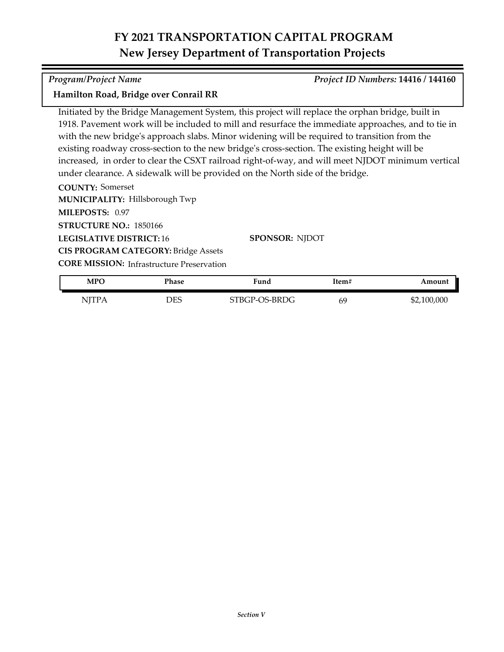#### *Program/Project Name Project ID Numbers:* **14416 / 144160**

#### **Hamilton Road, Bridge over Conrail RR**

Initiated by the Bridge Management System, this project will replace the orphan bridge, built in 1918. Pavement work will be included to mill and resurface the immediate approaches, and to tie in with the new bridge's approach slabs. Minor widening will be required to transition from the existing roadway cross-section to the new bridge's cross-section. The existing height will be increased, in order to clear the CSXT railroad right-of-way, and will meet NJDOT minimum vertical under clearance. A sidewalk will be provided on the North side of the bridge.

**COUNTY:** Somerset

**MUNICIPALITY: Hillsborough Twp** 

**MILEPOSTS:** 0.97 **STRUCTURE NO.:** 1850166

**LEGISLATIVE DISTRICT:** 16 **CIS PROGRAM CATEGORY:** Bridge Assets **SPONSOR:** NJDOT

| MPC          | Phase | Fund          | Item# | Amount      |
|--------------|-------|---------------|-------|-------------|
| <b>NJTPA</b> | DES   | STBGP-OS-BRDG | 69    | \$2,100,000 |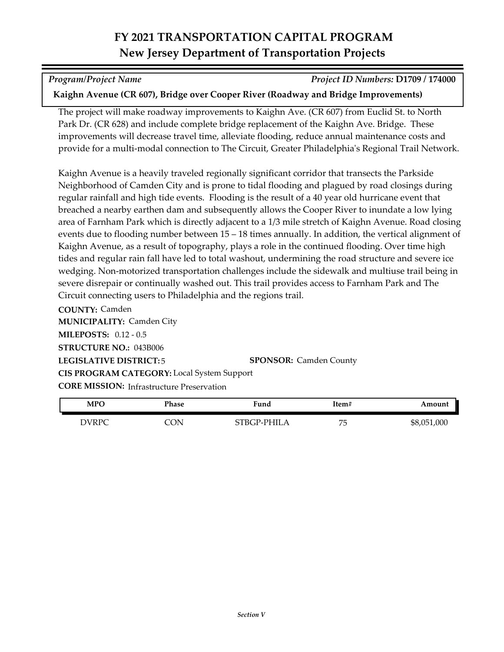*Program/Project Name Project ID Numbers:* **D1709 / 174000**

### **Kaighn Avenue (CR 607), Bridge over Cooper River (Roadway and Bridge Improvements)**

The project will make roadway improvements to Kaighn Ave. (CR 607) from Euclid St. to North Park Dr. (CR 628) and include complete bridge replacement of the Kaighn Ave. Bridge. These improvements will decrease travel time, alleviate flooding, reduce annual maintenance costs and provide for a multi-modal connection to The Circuit, Greater Philadelphia's Regional Trail Network.

Kaighn Avenue is a heavily traveled regionally significant corridor that transects the Parkside Neighborhood of Camden City and is prone to tidal flooding and plagued by road closings during regular rainfall and high tide events. Flooding is the result of a 40 year old hurricane event that breached a nearby earthen dam and subsequently allows the Cooper River to inundate a low lying area of Farnham Park which is directly adjacent to a 1/3 mile stretch of Kaighn Avenue. Road closing events due to flooding number between 15 – 18 times annually. In addition, the vertical alignment of Kaighn Avenue, as a result of topography, plays a role in the continued flooding. Over time high tides and regular rain fall have led to total washout, undermining the road structure and severe ice wedging. Non-motorized transportation challenges include the sidewalk and multiuse trail being in severe disrepair or continually washed out. This trail provides access to Farnham Park and The Circuit connecting users to Philadelphia and the regions trail.

**COUNTY:** Camden **LEGISLATIVE DISTRICT:** 5 **MILEPOSTS:** 0.12 - 0.5 **STRUCTURE NO.:** 043B006 **MUNICIPALITY: Camden City CORE MISSION:** Infrastructure Preservation **SPONSOR:** Camden County **CIS PROGRAM CATEGORY:** Local System Support

| MPO   | Phase | Fund       | Item# | Amount      |
|-------|-------|------------|-------|-------------|
| DVRPC | `ON   | TBGP-PHILA | 75    | \$8,051,000 |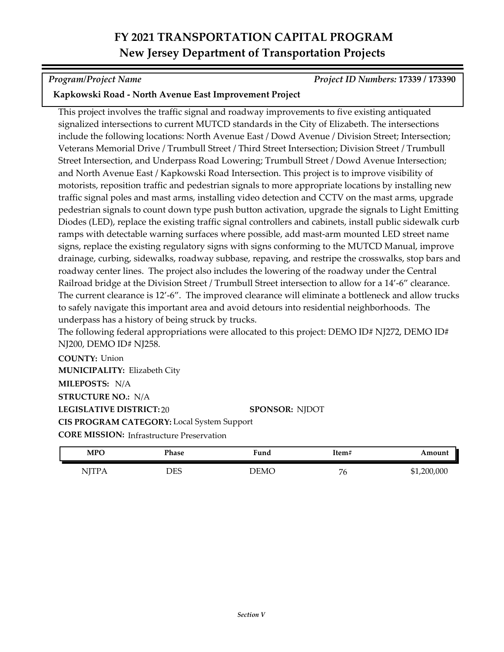*Program/Project Name Project ID Numbers:* **17339 / 173390**

### **Kapkowski Road - North Avenue East Improvement Project**

This project involves the traffic signal and roadway improvements to five existing antiquated signalized intersections to current MUTCD standards in the City of Elizabeth. The intersections include the following locations: North Avenue East / Dowd Avenue / Division Street; Intersection; Veterans Memorial Drive / Trumbull Street / Third Street Intersection; Division Street / Trumbull Street Intersection, and Underpass Road Lowering; Trumbull Street / Dowd Avenue Intersection; and North Avenue East / Kapkowski Road Intersection. This project is to improve visibility of motorists, reposition traffic and pedestrian signals to more appropriate locations by installing new traffic signal poles and mast arms, installing video detection and CCTV on the mast arms, upgrade pedestrian signals to count down type push button activation, upgrade the signals to Light Emitting Diodes (LED), replace the existing traffic signal controllers and cabinets, install public sidewalk curb ramps with detectable warning surfaces where possible, add mast-arm mounted LED street name signs, replace the existing regulatory signs with signs conforming to the MUTCD Manual, improve drainage, curbing, sidewalks, roadway subbase, repaving, and restripe the crosswalks, stop bars and roadway center lines. The project also includes the lowering of the roadway under the Central Railroad bridge at the Division Street / Trumbull Street intersection to allow for a 14'-6" clearance. The current clearance is 12'-6". The improved clearance will eliminate a bottleneck and allow trucks to safely navigate this important area and avoid detours into residential neighborhoods. The underpass has a history of being struck by trucks.

The following federal appropriations were allocated to this project: DEMO ID# NJ272, DEMO ID# NJ200, DEMO ID# NJ258.

**COUNTY:** Union **LEGISLATIVE DISTRICT:** 20 **MILEPOSTS:** N/A **STRUCTURE NO.:** N/A **MUNICIPALITY: Elizabeth City CORE MISSION: Infrastructure Preservation SPONSOR:** NJDOT **CIS PROGRAM CATEGORY:** Local System Support

| <b>MPO</b>    | Phase | Fund | Item#             | Amount      |
|---------------|-------|------|-------------------|-------------|
| 11 <i>1</i> 1 | DES   | demc | $\mathbf{r}$<br>Ö | \$1,200,000 |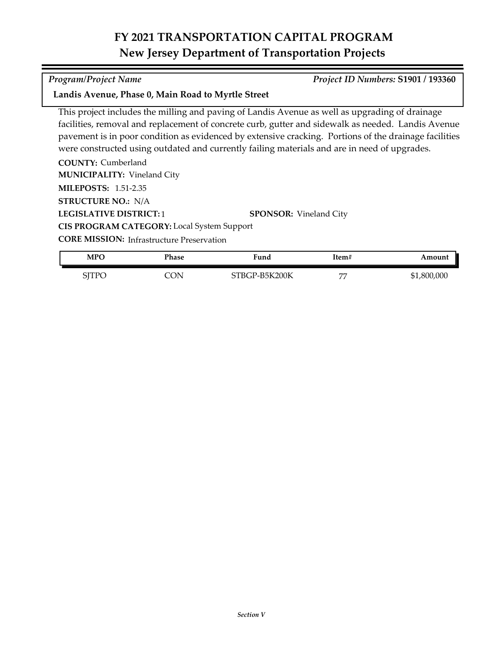#### *Program/Project Name Project ID Numbers:* **S1901 / 193360**

#### **Landis Avenue, Phase 0, Main Road to Myrtle Street**

This project includes the milling and paving of Landis Avenue as well as upgrading of drainage facilities, removal and replacement of concrete curb, gutter and sidewalk as needed. Landis Avenue pavement is in poor condition as evidenced by extensive cracking. Portions of the drainage facilities were constructed using outdated and currently failing materials and are in need of upgrades.

**COUNTY:** Cumberland **LEGISLATIVE DISTRICT:** 1 **MILEPOSTS:** 1.51-2.35 **STRUCTURE NO.:** N/A **MUNICIPALITY: Vineland City SPONSOR:** Vineland City **CIS PROGRAM CATEGORY:** Local System Support

| MPO   | Phase    | Fund          | Item#      | Amount      |
|-------|----------|---------------|------------|-------------|
| SITPC | $\Delta$ | STBGP-B5K200K | <b>HIL</b> | \$1,800,000 |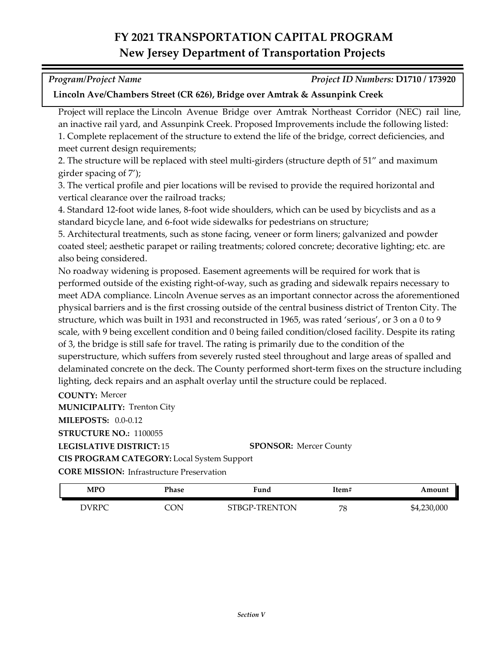| <b>Program/Project Name</b> | Project ID Numbers: D1710 / 173920 |
|-----------------------------|------------------------------------|

#### **Lincoln Ave/Chambers Street (CR 626), Bridge over Amtrak & Assunpink Creek**

Project will replace the Lincoln Avenue Bridge over Amtrak Northeast Corridor (NEC) rail line, an inactive rail yard, and Assunpink Creek. Proposed Improvements include the following listed: 1. Complete replacement of the structure to extend the life of the bridge, correct deficiencies, and meet current design requirements;

2. The structure will be replaced with steel multi-girders (structure depth of 51" and maximum girder spacing of 7');

3. The vertical profile and pier locations will be revised to provide the required horizontal and vertical clearance over the railroad tracks;

4. Standard 12-foot wide lanes, 8-foot wide shoulders, which can be used by bicyclists and as a standard bicycle lane, and 6-foot wide sidewalks for pedestrians on structure;

5. Architectural treatments, such as stone facing, veneer or form liners; galvanized and powder coated steel; aesthetic parapet or railing treatments; colored concrete; decorative lighting; etc. are also being considered.

No roadway widening is proposed. Easement agreements will be required for work that is performed outside of the existing right-of-way, such as grading and sidewalk repairs necessary to meet ADA compliance. Lincoln Avenue serves as an important connector across the aforementioned physical barriers and is the first crossing outside of the central business district of Trenton City. The structure, which was built in 1931 and reconstructed in 1965, was rated 'serious', or 3 on a 0 to 9 scale, with 9 being excellent condition and 0 being failed condition/closed facility. Despite its rating of 3, the bridge is still safe for travel. The rating is primarily due to the condition of the superstructure, which suffers from severely rusted steel throughout and large areas of spalled and delaminated concrete on the deck. The County performed short-term fixes on the structure including lighting, deck repairs and an asphalt overlay until the structure could be replaced.

**COUNTY:** Mercer

**MUNICIPALITY: Trenton City** 

**MILEPOSTS:** 0.0-0.12

**STRUCTURE NO.:** 1100055

**LEGISLATIVE DISTRICT:** 15

**SPONSOR:** Mercer County

**CIS PROGRAM CATEGORY:** Local System Support

| MPO   | Phase | Fund          | Item# | Amount      |
|-------|-------|---------------|-------|-------------|
| DVRPC | CON   | STBGP-TRENTON | 78    | \$4,230,000 |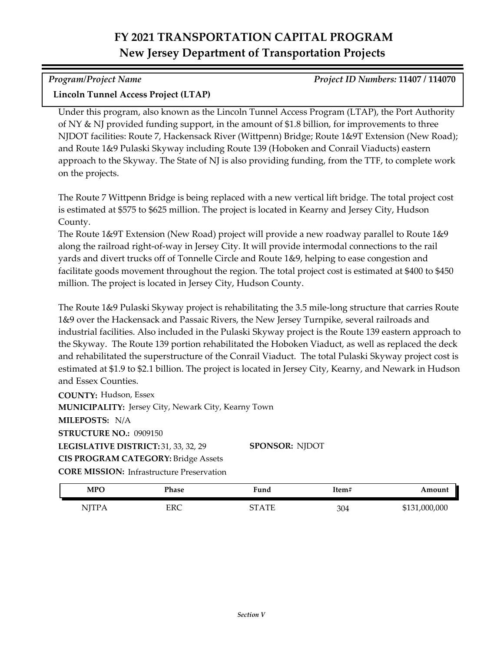*Program/Project Name Project ID Numbers:* **11407 / 114070**

### **Lincoln Tunnel Access Project (LTAP)**

Under this program, also known as the Lincoln Tunnel Access Program (LTAP), the Port Authority of NY & NJ provided funding support, in the amount of \$1.8 billion, for improvements to three NJDOT facilities: Route 7, Hackensack River (Wittpenn) Bridge; Route 1&9T Extension (New Road); and Route 1&9 Pulaski Skyway including Route 139 (Hoboken and Conrail Viaducts) eastern approach to the Skyway. The State of NJ is also providing funding, from the TTF, to complete work on the projects.

The Route 7 Wittpenn Bridge is being replaced with a new vertical lift bridge. The total project cost is estimated at \$575 to \$625 million. The project is located in Kearny and Jersey City, Hudson County.

The Route 1&9T Extension (New Road) project will provide a new roadway parallel to Route 1&9 along the railroad right-of-way in Jersey City. It will provide intermodal connections to the rail yards and divert trucks off of Tonnelle Circle and Route 1&9, helping to ease congestion and facilitate goods movement throughout the region. The total project cost is estimated at \$400 to \$450 million. The project is located in Jersey City, Hudson County.

The Route 1&9 Pulaski Skyway project is rehabilitating the 3.5 mile-long structure that carries Route 1&9 over the Hackensack and Passaic Rivers, the New Jersey Turnpike, several railroads and industrial facilities. Also included in the Pulaski Skyway project is the Route 139 eastern approach to the Skyway. The Route 139 portion rehabilitated the Hoboken Viaduct, as well as replaced the deck and rehabilitated the superstructure of the Conrail Viaduct. The total Pulaski Skyway project cost is estimated at \$1.9 to \$2.1 billion. The project is located in Jersey City, Kearny, and Newark in Hudson and Essex Counties.

**COUNTY:** Hudson, Essex LEGISLATIVE DISTRICT: 31, 33, 32, 29 **MILEPOSTS:** N/A **STRUCTURE NO.:** 0909150 **MUNICIPALITY: Jersey City, Newark City, Kearny Town CORE MISSION:** Infrastructure Preservation **SPONSOR:** NJDOT **CIS PROGRAM CATEGORY:** Bridge Assets

| <b>MPO</b>   | Phase | <sup>T</sup> und               | Item# | Amount        |
|--------------|-------|--------------------------------|-------|---------------|
| <b>NJTPA</b> | ERC   | $\Lambda$ T <sub>I</sub><br>חר | 304   | \$131,000,000 |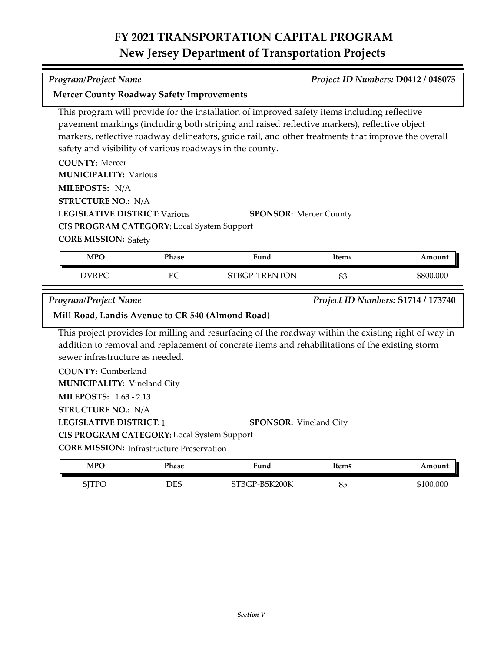*Program/Project Name Project ID Numbers:* **D0412 / 048075**

| <b>Mercer County Roadway Safety Improvements</b>                                                                                                                                                                                                                                                                                                               |       |                                                                                                                                                                                                         |       |                                    |
|----------------------------------------------------------------------------------------------------------------------------------------------------------------------------------------------------------------------------------------------------------------------------------------------------------------------------------------------------------------|-------|---------------------------------------------------------------------------------------------------------------------------------------------------------------------------------------------------------|-------|------------------------------------|
| This program will provide for the installation of improved safety items including reflective<br>pavement markings (including both striping and raised reflective markers), reflective object<br>markers, reflective roadway delineators, guide rail, and other treatments that improve the overall<br>safety and visibility of various roadways in the county. |       |                                                                                                                                                                                                         |       |                                    |
| <b>COUNTY: Mercer</b>                                                                                                                                                                                                                                                                                                                                          |       |                                                                                                                                                                                                         |       |                                    |
| <b>MUNICIPALITY: Various</b>                                                                                                                                                                                                                                                                                                                                   |       |                                                                                                                                                                                                         |       |                                    |
| MILEPOSTS: N/A                                                                                                                                                                                                                                                                                                                                                 |       |                                                                                                                                                                                                         |       |                                    |
| <b>STRUCTURE NO.: N/A</b>                                                                                                                                                                                                                                                                                                                                      |       |                                                                                                                                                                                                         |       |                                    |
| <b>LEGISLATIVE DISTRICT: Various</b>                                                                                                                                                                                                                                                                                                                           |       | <b>SPONSOR: Mercer County</b>                                                                                                                                                                           |       |                                    |
| CIS PROGRAM CATEGORY: Local System Support                                                                                                                                                                                                                                                                                                                     |       |                                                                                                                                                                                                         |       |                                    |
| <b>CORE MISSION: Safety</b>                                                                                                                                                                                                                                                                                                                                    |       |                                                                                                                                                                                                         |       |                                    |
| <b>MPO</b>                                                                                                                                                                                                                                                                                                                                                     | Phase | Fund                                                                                                                                                                                                    | Item# | Amount                             |
| <b>DVRPC</b>                                                                                                                                                                                                                                                                                                                                                   | EC    |                                                                                                                                                                                                         |       |                                    |
|                                                                                                                                                                                                                                                                                                                                                                |       | STBGP-TRENTON                                                                                                                                                                                           | 83    | \$800,000                          |
| <b>Program/Project Name</b>                                                                                                                                                                                                                                                                                                                                    |       |                                                                                                                                                                                                         |       | Project ID Numbers: S1714 / 173740 |
| Mill Road, Landis Avenue to CR 540 (Almond Road)                                                                                                                                                                                                                                                                                                               |       |                                                                                                                                                                                                         |       |                                    |
| sewer infrastructure as needed.                                                                                                                                                                                                                                                                                                                                |       | This project provides for milling and resurfacing of the roadway within the existing right of way in<br>addition to removal and replacement of concrete items and rehabilitations of the existing storm |       |                                    |
| <b>COUNTY: Cumberland</b><br><b>MUNICIPALITY: Vineland City</b>                                                                                                                                                                                                                                                                                                |       |                                                                                                                                                                                                         |       |                                    |
| <b>MILEPOSTS: 1.63 - 2.13</b>                                                                                                                                                                                                                                                                                                                                  |       |                                                                                                                                                                                                         |       |                                    |
| <b>STRUCTURE NO.: N/A</b>                                                                                                                                                                                                                                                                                                                                      |       |                                                                                                                                                                                                         |       |                                    |
| <b>LEGISLATIVE DISTRICT:1</b>                                                                                                                                                                                                                                                                                                                                  |       | <b>SPONSOR:</b> Vineland City                                                                                                                                                                           |       |                                    |
| CIS PROGRAM CATEGORY: Local System Support                                                                                                                                                                                                                                                                                                                     |       |                                                                                                                                                                                                         |       |                                    |
| <b>CORE MISSION:</b> Infrastructure Preservation                                                                                                                                                                                                                                                                                                               |       |                                                                                                                                                                                                         |       |                                    |

SJTPO DES STBGP-B5K200K 85 \$100,000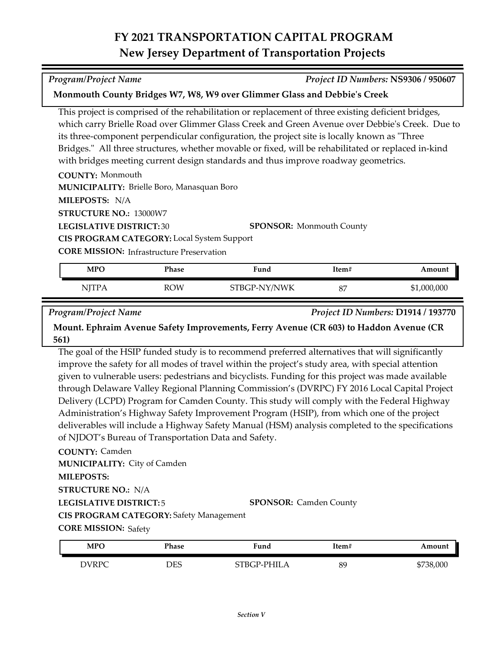*Program/Project Name Project ID Numbers:* **NS9306 / 950607**

This project is comprised of the rehabilitation or replacement of three existing deficient bridges, which carry Brielle Road over Glimmer Glass Creek and Green Avenue over Debbie's Creek. Due to

**Monmouth County Bridges W7, W8, W9 over Glimmer Glass and Debbie's Creek**

| its three-component perpendicular configuration, the project site is locally known as "Three |                                                                                                     |  |
|----------------------------------------------------------------------------------------------|-----------------------------------------------------------------------------------------------------|--|
|                                                                                              | Bridges." All three structures, whether movable or fixed, will be rehabilitated or replaced in-kind |  |
| with bridges meeting current design standards and thus improve roadway geometrics.           |                                                                                                     |  |
| <b>COUNTY: Monmouth</b>                                                                      |                                                                                                     |  |
| <b>MUNICIPALITY: Brielle Boro, Manasquan Boro</b>                                            |                                                                                                     |  |
| MILEPOSTS: N/A                                                                               |                                                                                                     |  |
| <b>STRUCTURE NO.: 13000W7</b>                                                                |                                                                                                     |  |
| <b>LEGISLATIVE DISTRICT: 30</b>                                                              | <b>SPONSOR:</b> Monmouth County                                                                     |  |
| <b>CIS PROGRAM CATEGORY:</b> Local System Support                                            |                                                                                                     |  |
|                                                                                              |                                                                                                     |  |

**CORE MISSION: Infrastructure Preservation** 

| <b>MPO</b> | Phase | Fund         | Item# | Amount      |
|------------|-------|--------------|-------|-------------|
| NJTPA      | ROW   | STBGP-NY/NWK | 87    | \$1,000,000 |

*Program/Project Name Project ID Numbers:* **D1914 / 193770**

**Mount. Ephraim Avenue Safety Improvements, Ferry Avenue (CR 603) to Haddon Avenue (CR 561)**

The goal of the HSIP funded study is to recommend preferred alternatives that will significantly improve the safety for all modes of travel within the project's study area, with special attention given to vulnerable users: pedestrians and bicyclists. Funding for this project was made available through Delaware Valley Regional Planning Commission's (DVRPC) FY 2016 Local Capital Project Delivery (LCPD) Program for Camden County. This study will comply with the Federal Highway Administration's Highway Safety Improvement Program (HSIP), from which one of the project deliverables will include a Highway Safety Manual (HSM) analysis completed to the specifications of NJDOT's Bureau of Transportation Data and Safety.

**COUNTY:** Camden **LEGISLATIVE DISTRICT:** 5 **MILEPOSTS: STRUCTURE NO.:** N/A **MUNICIPALITY: City of Camden CORE MISSION: Safety SPONSOR:** Camden County **CIS PROGRAM CATEGORY:** Safety Management

| <b>MPO</b>   | Phase | Fund        | ltem# | Amount    |
|--------------|-------|-------------|-------|-----------|
| <b>DVRPC</b> | DES   | STBGP-PHILA | 89    | \$738,000 |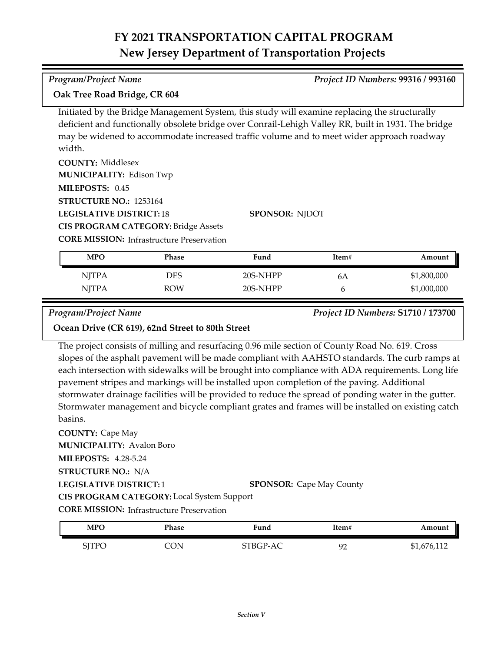#### *Program/Project Name Project ID Numbers:* **99316 / 993160**

**Oak Tree Road Bridge, CR 604**

Initiated by the Bridge Management System, this study will examine replacing the structurally deficient and functionally obsolete bridge over Conrail-Lehigh Valley RR, built in 1931. The bridge may be widened to accommodate increased traffic volume and to meet wider approach roadway width.

| <b>COUNTY: Middlesex</b>                         |                       |
|--------------------------------------------------|-----------------------|
| <b>MUNICIPALITY: Edison Twp</b>                  |                       |
| MILEPOSTS: 0.45                                  |                       |
| <b>STRUCTURE NO.: 1253164</b>                    |                       |
| <b>LEGISLATIVE DISTRICT:18</b>                   | <b>SPONSOR: NJDOT</b> |
| <b>CIS PROGRAM CATEGORY: Bridge Assets</b>       |                       |
| <b>CORE MISSION:</b> Infrastructure Preservation |                       |

| <b>MPO</b>   | Phase      | Fund     | Item# | Amount      |
|--------------|------------|----------|-------|-------------|
| <b>NJTPA</b> | DES        | 20S-NHPP | 6A    | \$1,800,000 |
| <b>NITPA</b> | <b>ROW</b> | 20S-NHPP |       | \$1,000,000 |

*Program/Project Name Project ID Numbers:* **S1710 / 173700**

### **Ocean Drive (CR 619), 62nd Street to 80th Street**

The project consists of milling and resurfacing 0.96 mile section of County Road No. 619. Cross slopes of the asphalt pavement will be made compliant with AAHSTO standards. The curb ramps at each intersection with sidewalks will be brought into compliance with ADA requirements. Long life pavement stripes and markings will be installed upon completion of the paving. Additional stormwater drainage facilities will be provided to reduce the spread of ponding water in the gutter. Stormwater management and bicycle compliant grates and frames will be installed on existing catch basins.

**COUNTY:** Cape May **LEGISLATIVE DISTRICT:** 1 **MILEPOSTS:** 4.28-5.24 **STRUCTURE NO.:** N/A **MUNICIPALITY: Avalon Boro CORE MISSION:** Infrastructure Preservation **SPONSOR:** Cape May County **CIS PROGRAM CATEGORY:** Local System Support

| <b>MPO</b>   | Phase | Fund     | Item#              | Amount      |
|--------------|-------|----------|--------------------|-------------|
| <b>SJTPO</b> | CON.  | STBGP-AC | Q۵<br>. <u>. .</u> | \$1,676,112 |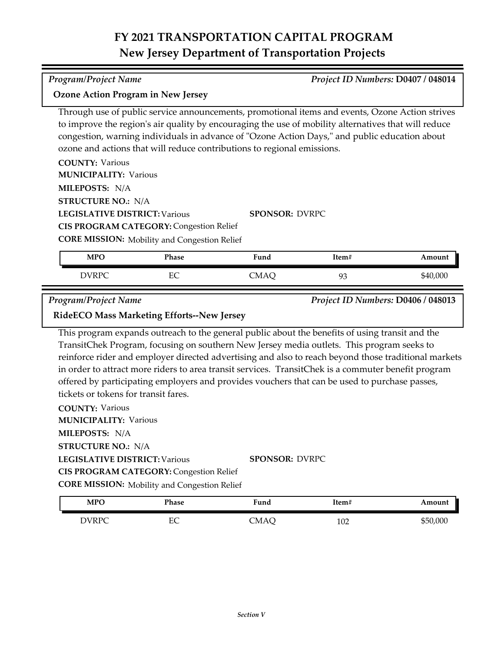#### **Ozone Action Program in New Jersey**

Through use of public service announcements, promotional items and events, Ozone Action strives to improve the region's air quality by encouraging the use of mobility alternatives that will reduce congestion, warning individuals in advance of "Ozone Action Days," and public education about ozone and actions that will reduce contributions to regional emissions.

| <b>COUNTY: Various</b>                              |                       |
|-----------------------------------------------------|-----------------------|
| <b>MUNICIPALITY: Various</b>                        |                       |
| <b>MILEPOSTS: N/A</b>                               |                       |
| <b>STRUCTURE NO.: N/A</b>                           |                       |
| <b>LEGISLATIVE DISTRICT: Various</b>                | <b>SPONSOR: DVRPC</b> |
| <b>CIS PROGRAM CATEGORY: Congestion Relief</b>      |                       |
| <b>CORE MISSION:</b> Mobility and Congestion Relief |                       |

| <b>MPO</b>   | Phase     | Fund | Item# | Amount   |
|--------------|-----------|------|-------|----------|
| <b>DVRPC</b> | гΩ<br>LU. | CMAQ | 93    | \$40,000 |

*Program/Project Name Project ID Numbers:* **D0406 / 048013**

#### **RideECO Mass Marketing Efforts--New Jersey**

This program expands outreach to the general public about the benefits of using transit and the TransitChek Program, focusing on southern New Jersey media outlets. This program seeks to reinforce rider and employer directed advertising and also to reach beyond those traditional markets in order to attract more riders to area transit services. TransitChek is a commuter benefit program offered by participating employers and provides vouchers that can be used to purchase passes, tickets or tokens for transit fares.

**COUNTY:** Various **LEGISLATIVE DISTRICT:** Various **MILEPOSTS:** N/A **STRUCTURE NO.:** N/A **MUNICIPALITY: Various CORE MISSION:** Mobility and Congestion Relief **SPONSOR:** DVRPC **CIS PROGRAM CATEGORY: Congestion Relief** 

| <b>MPO</b> | Phase   | Fund | Item# | Amount   |
|------------|---------|------|-------|----------|
| DVRPC      | ⊏∩<br>◡ | CMAC | 102   | \$50,000 |

*Program/Project Name Project ID Numbers:* **D0407 / 048014**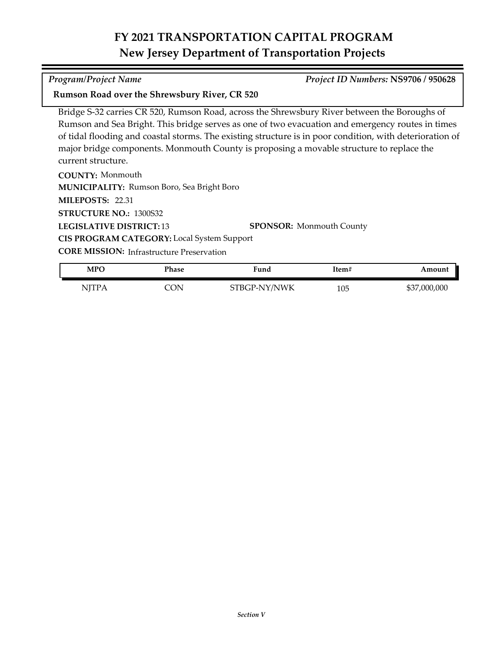#### *Program/Project Name Project ID Numbers:* **NS9706 / 950628**

#### **Rumson Road over the Shrewsbury River, CR 520**

Bridge S‐32 carries CR 520, Rumson Road, across the Shrewsbury River between the Boroughs of Rumson and Sea Bright. This bridge serves as one of two evacuation and emergency routes in times of tidal flooding and coastal storms. The existing structure is in poor condition, with deterioration of major bridge components. Monmouth County is proposing a movable structure to replace the current structure.

**COUNTY:** Monmouth **LEGISLATIVE DISTRICT:** 13 **MILEPOSTS:** 22.31 **STRUCTURE NO.:** 1300S32 **MUNICIPALITY: Rumson Boro, Sea Bright Boro SPONSOR:** Monmouth County **CIS PROGRAM CATEGORY:** Local System Support

| MPC          | Phase | Fund         | Item# | Amount       |
|--------------|-------|--------------|-------|--------------|
| <b>NJTPA</b> | ON    | STBGP-NY/NWK | 105   | \$37,000,000 |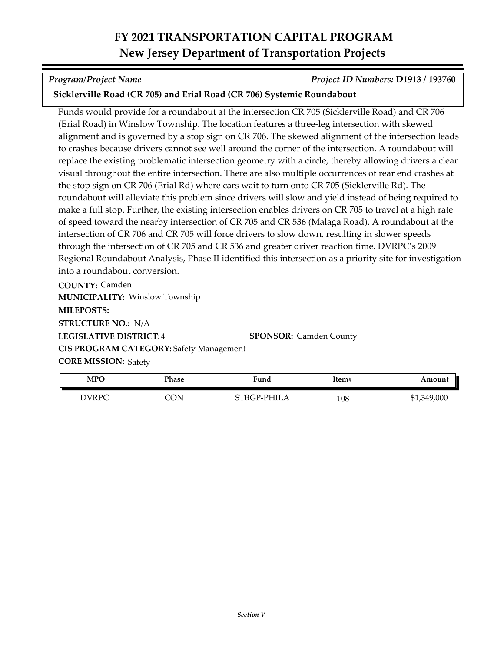*Program/Project Name Project ID Numbers:* **D1913 / 193760**

### **Sicklerville Road (CR 705) and Erial Road (CR 706) Systemic Roundabout**

Funds would provide for a roundabout at the intersection CR 705 (Sicklerville Road) and CR 706 (Erial Road) in Winslow Township. The location features a three-leg intersection with skewed alignment and is governed by a stop sign on CR 706. The skewed alignment of the intersection leads to crashes because drivers cannot see well around the corner of the intersection. A roundabout will replace the existing problematic intersection geometry with a circle, thereby allowing drivers a clear visual throughout the entire intersection. There are also multiple occurrences of rear end crashes at the stop sign on CR 706 (Erial Rd) where cars wait to turn onto CR 705 (Sicklerville Rd). The roundabout will alleviate this problem since drivers will slow and yield instead of being required to make a full stop. Further, the existing intersection enables drivers on CR 705 to travel at a high rate of speed toward the nearby intersection of CR 705 and CR 536 (Malaga Road). A roundabout at the intersection of CR 706 and CR 705 will force drivers to slow down, resulting in slower speeds through the intersection of CR 705 and CR 536 and greater driver reaction time. DVRPC's 2009 Regional Roundabout Analysis, Phase II identified this intersection as a priority site for investigation into a roundabout conversion.

**COUNTY:** Camden **LEGISLATIVE DISTRICT:** 4 **MILEPOSTS: STRUCTURE NO.:** N/A **MUNICIPALITY: Winslow Township CORE MISSION: Safety SPONSOR:** Camden County **CIS PROGRAM CATEGORY:** Safety Management

| MPO   | Phase | iund        | Item# | Amount      |
|-------|-------|-------------|-------|-------------|
| DVRPC | CON.  | STBGP-PHILA | 108   | \$1,349,000 |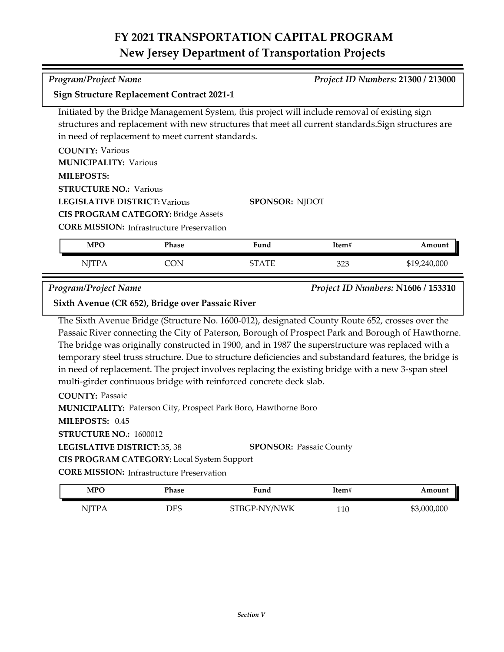# **Sign Structure Replacement Contract 2021-1**

Initiated by the Bridge Management System, this project will include removal of existing sign structures and replacement with new structures that meet all current standards.Sign structures are in need of replacement to meet current standards.

**COUNTY:** Various **LEGISLATIVE DISTRICT:** Various **MILEPOSTS: STRUCTURE NO.: Various MUNICIPALITY: Various CIS PROGRAM CATEGORY:** Bridge Assets

| <b>CORE MISSION: Infrastructure Preservation</b> |  |  |
|--------------------------------------------------|--|--|
|--------------------------------------------------|--|--|

| <b>MPO</b> | Phase | Fund | Item#      | Amount       |
|------------|-------|------|------------|--------------|
| 1111       |       | ு ரா | วาว<br>ں∠ں | \$19,240,000 |

**SPONSOR:** NJDOT

*Program/Project Name Project ID Numbers:* **N1606 / 153310**

**Sixth Avenue (CR 652), Bridge over Passaic River**

The Sixth Avenue Bridge (Structure No. 1600-012), designated County Route 652, crosses over the Passaic River connecting the City of Paterson, Borough of Prospect Park and Borough of Hawthorne. The bridge was originally constructed in 1900, and in 1987 the superstructure was replaced with a temporary steel truss structure. Due to structure deficiencies and substandard features, the bridge is in need of replacement. The project involves replacing the existing bridge with a new 3-span steel multi-girder continuous bridge with reinforced concrete deck slab.

**COUNTY:** Passaic

**MUNICIPALITY: Paterson City, Prospect Park Boro, Hawthorne Boro** 

**MILEPOSTS:** 0.45

**STRUCTURE NO.:** 1600012

**LEGISLATIVE DISTRICT:** 35, 38 **SPONSOR:** Passaic County

**CIS PROGRAM CATEGORY:** Local System Support

**CORE MISSION: Infrastructure Preservation** 

| <b>MPO</b>   | Phase | Fund         | Item# | Amount      |
|--------------|-------|--------------|-------|-------------|
| <b>NJTPA</b> | DES   | STBGP-NY/NWK | 110   | \$3,000,000 |

*Program/Project Name Project ID Numbers:* **21300 / 213000**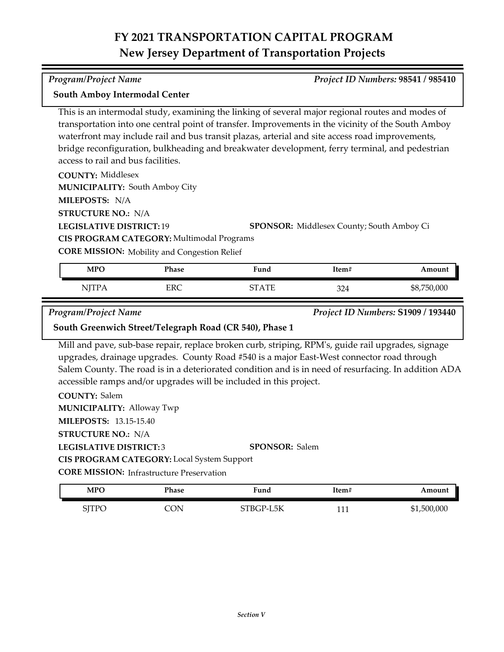**COUNTY:** Middlesex **LEGISLATIVE DISTRICT:** 19 **SPONSOR:** Middlesex County; South Amboy Ci **MILEPOSTS:** N/A **STRUCTURE NO.:** N/A **COUNTY:** Salem **MILEPOSTS:** 13.15-15.40 **MUNICIPALITY: South Amboy City CORE MISSION:** Mobility and Congestion Relief **LEGISLATIVE DISTRICT: 19 MUNICIPALITY: Alloway Twp** waterfront may include rail and bus transit plazas, arterial and site access road improvements, bridge reconfiguration, bulkheading and breakwater development, ferry terminal, and pedestrian access to rail and bus facilities. **CIS PROGRAM CATEGORY:** Multimodal Programs Mill and pave, sub-base repair, replace broken curb, striping, RPM's, guide rail upgrades, signage upgrades, drainage upgrades. County Road #540 is a major East-West connector road through Salem County. The road is in a deteriorated condition and is in need of resurfacing. In addition ADA accessible ramps and/or upgrades will be included in this project. *Program/Project Name Project ID Numbers:* **S1909 / 193440 South Greenwich Street/Telegraph Road (CR 540), Phase 1** NJTPA ERC ERC STATE 324 \$8,750,000 **MPO Phase Fund Item# Amount**

**South Amboy Intermodal Center**

This is an intermodal study, examining the linking of several major regional routes and modes of transportation into one central point of transfer. Improvements in the vicinity of the South Amboy

*Section V*

**LEGISLATIVE DISTRICT:** 3

**STRUCTURE NO.:** N/A

**CIS PROGRAM CATEGORY:** Local System Support

**CORE MISSION: Infrastructure Preservation** 

| <b>MPO</b> | Phase | Fund      | Item# | Amount      |
|------------|-------|-----------|-------|-------------|
| SJTPO      | `ON   | STBGP-L5K | 111   | \$1,500,000 |

**SPONSOR:** Salem

#### *Program/Project Name Project ID Numbers:* **98541 / 985410**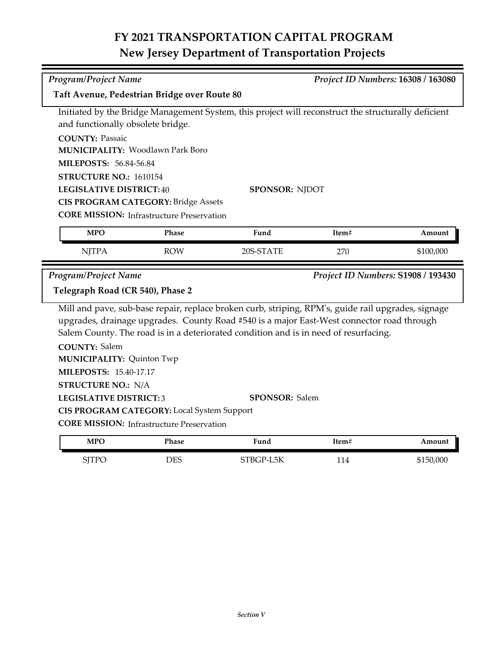| <b>Program/Project Name</b><br>Project ID Numbers: 16308 / 163080 |                                                  |                                                                                                     |       |                                    |  |
|-------------------------------------------------------------------|--------------------------------------------------|-----------------------------------------------------------------------------------------------------|-------|------------------------------------|--|
|                                                                   |                                                  |                                                                                                     |       |                                    |  |
| Taft Avenue, Pedestrian Bridge over Route 80                      |                                                  |                                                                                                     |       |                                    |  |
|                                                                   |                                                  | Initiated by the Bridge Management System, this project will reconstruct the structurally deficient |       |                                    |  |
| and functionally obsolete bridge.                                 |                                                  |                                                                                                     |       |                                    |  |
| <b>COUNTY: Passaic</b>                                            |                                                  |                                                                                                     |       |                                    |  |
|                                                                   | <b>MUNICIPALITY: Woodlawn Park Boro</b>          |                                                                                                     |       |                                    |  |
| <b>MILEPOSTS: 56.84-56.84</b>                                     |                                                  |                                                                                                     |       |                                    |  |
| STRUCTURE NO.: 1610154                                            |                                                  |                                                                                                     |       |                                    |  |
| <b>LEGISLATIVE DISTRICT:40</b>                                    |                                                  | <b>SPONSOR: NJDOT</b>                                                                               |       |                                    |  |
|                                                                   | <b>CIS PROGRAM CATEGORY: Bridge Assets</b>       |                                                                                                     |       |                                    |  |
|                                                                   | <b>CORE MISSION: Infrastructure Preservation</b> |                                                                                                     |       |                                    |  |
| <b>MPO</b>                                                        | Phase                                            | Fund                                                                                                | Item# | Amount                             |  |
| <b>NJTPA</b>                                                      | <b>ROW</b>                                       | 20S-STATE                                                                                           | 270   | \$100,000                          |  |
|                                                                   |                                                  |                                                                                                     |       |                                    |  |
|                                                                   |                                                  |                                                                                                     |       |                                    |  |
| Program/Project Name<br>Telegraph Road (CR 540), Phase 2          |                                                  |                                                                                                     |       | Project ID Numbers: S1908 / 193430 |  |
|                                                                   |                                                  |                                                                                                     |       |                                    |  |
|                                                                   |                                                  | Mill and pave, sub-base repair, replace broken curb, striping, RPM's, guide rail upgrades, signage  |       |                                    |  |
|                                                                   |                                                  | upgrades, drainage upgrades. County Road #540 is a major East-West connector road through           |       |                                    |  |
|                                                                   |                                                  | Salem County. The road is in a deteriorated condition and is in need of resurfacing.                |       |                                    |  |
| <b>COUNTY: Salem</b>                                              |                                                  |                                                                                                     |       |                                    |  |
| <b>MUNICIPALITY: Quinton Twp</b><br><b>MILEPOSTS: 15.40-17.17</b> |                                                  |                                                                                                     |       |                                    |  |
|                                                                   |                                                  |                                                                                                     |       |                                    |  |
| <b>STRUCTURE NO.: N/A</b><br><b>LEGISLATIVE DISTRICT:3</b>        |                                                  | <b>SPONSOR: Salem</b>                                                                               |       |                                    |  |
|                                                                   | CIS PROGRAM CATEGORY: Local System Support       |                                                                                                     |       |                                    |  |
|                                                                   | <b>CORE MISSION: Infrastructure Preservation</b> |                                                                                                     |       |                                    |  |
| <b>MPO</b>                                                        | Phase                                            | Fund                                                                                                | Item# | Amount                             |  |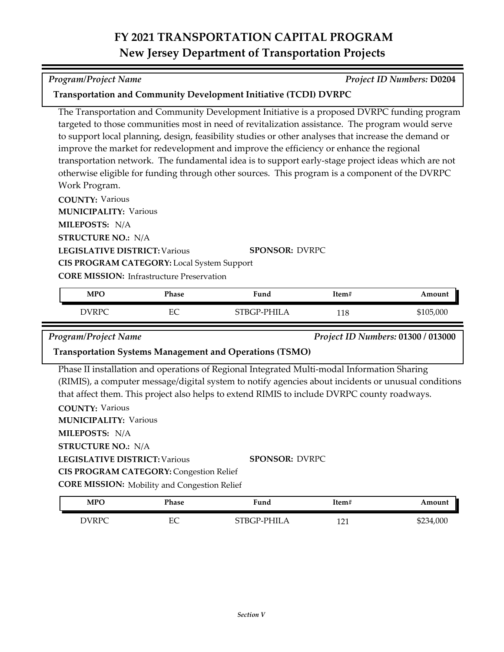**Transportation and Community Development Initiative (TCDI) DVRPC**

| targeted to those communities most in need of revitalization assistance. The program would serve     |
|------------------------------------------------------------------------------------------------------|
| to support local planning, design, feasibility studies or other analyses that increase the demand or |
| improve the market for redevelopment and improve the efficiency or enhance the regional              |
| transportation network. The fundamental idea is to support early-stage project ideas which are not   |
| otherwise eligible for funding through other sources. This program is a component of the DVRPC       |
| $M_{\alpha}$ <sup>1</sup> $\epsilon$ D <sub>10</sub> $\alpha$ <sub>10</sub> $\alpha$ <sub>2</sub>    |

The Transportation and Community Development Initiative is a proposed DVRPC funding program

Work Program.

**COUNTY:** Various

**MUNICIPALITY: Various** 

**MILEPOSTS:** N/A

**STRUCTURE NO.:** N/A

**LEGISLATIVE DISTRICT:** Various

**SPONSOR:** DVRPC

**CORE MISSION: Infrastructure Preservation** 

**CIS PROGRAM CATEGORY:** Local System Support

| <b>MPO</b> | Phase      | ∀und            | Item# | Amount    |
|------------|------------|-----------------|-------|-----------|
| DVRPC      | FС<br>حانا | PHIL.<br>STRCP. | 118   | \$105,000 |

*Program/Project Name Project ID Numbers:* **01300 / 013000**

#### **Transportation Systems Management and Operations (TSMO)**

Phase II installation and operations of Regional Integrated Multi-modal Information Sharing (RIMIS), a computer message/digital system to notify agencies about incidents or unusual conditions that affect them. This project also helps to extend RIMIS to include DVRPC county roadways.

**COUNTY:** Various **LEGISLATIVE DISTRICT:** Various **MILEPOSTS:** N/A **STRUCTURE NO.:** N/A **MUNICIPALITY: Various CORE MISSION:** Mobility and Congestion Relief **SPONSOR:** DVRPC **CIS PROGRAM CATEGORY: Congestion Relief** 

| <b>MPO</b> | Phase   | . .<br>Fund | Item#      | Amount    |
|------------|---------|-------------|------------|-----------|
| DVRPC      | EС<br>∽ | STBGP-PHILA | 101<br>┸┷┸ | \$234,000 |

*Program/Project Name Project ID Numbers:* **D0204**